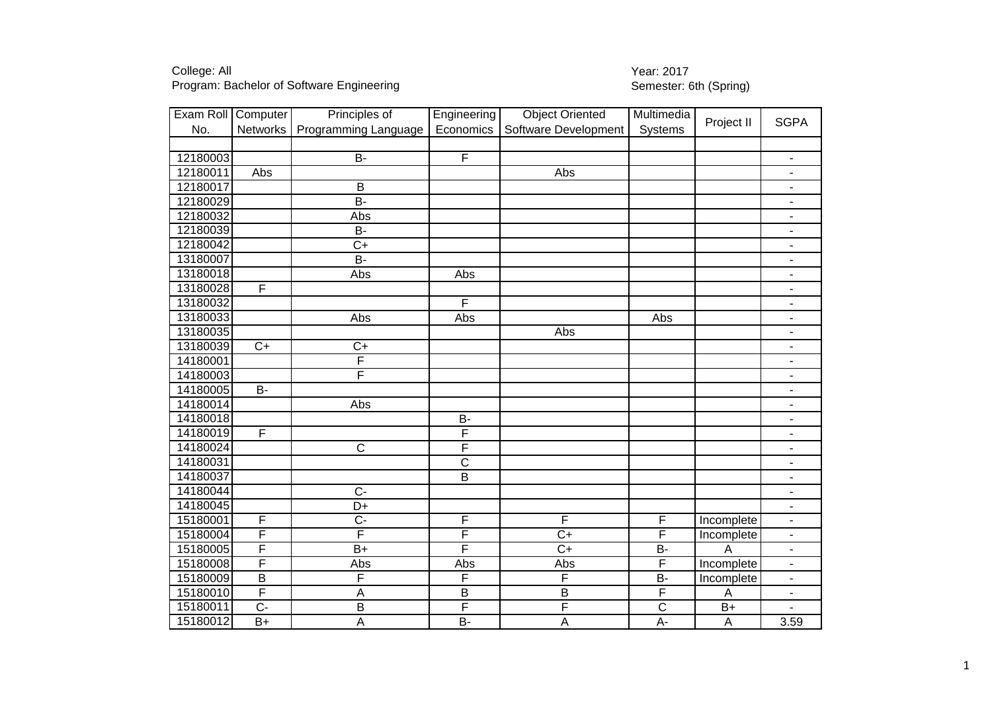Program: Bachelor of Software Engineering

## College: All<br>
Program: Bachelor of Software Engineering<br>
Program: Bachelor of Software Engineering<br>
2013

| Exam Roll Computer |                         | Principles of           | Engineering           | <b>Object Oriented</b> | Multimedia              | Project II      | <b>SGPA</b>                  |
|--------------------|-------------------------|-------------------------|-----------------------|------------------------|-------------------------|-----------------|------------------------------|
| No.                | Networks                | Programming Language    | Economics             | Software Development   | Systems                 |                 |                              |
|                    |                         |                         |                       |                        |                         |                 |                              |
| 12180003           |                         | $B -$                   | F                     |                        |                         |                 | $\blacksquare$               |
| 12180011           | Abs                     |                         |                       | Abs                    |                         |                 | $\blacksquare$               |
| 12180017           |                         | $\overline{B}$          |                       |                        |                         |                 | $\overline{\phantom{0}}$     |
| 12180029           |                         | <b>B-</b>               |                       |                        |                         |                 | $\overline{\phantom{m}}$     |
| 12180032           |                         | Abs                     |                       |                        |                         |                 | $\overline{\phantom{m}}$     |
| 12180039           |                         | $B -$                   |                       |                        |                         |                 | $\overline{\phantom{0}}$     |
| 12180042           |                         | $\overline{C+}$         |                       |                        |                         |                 | $\qquad \qquad \blacksquare$ |
| 13180007           |                         | $B -$                   |                       |                        |                         |                 | $\blacksquare$               |
| 13180018           |                         | Abs                     | Abs                   |                        |                         |                 | $\overline{\phantom{a}}$     |
| 13180028           | $\overline{F}$          |                         |                       |                        |                         |                 | ÷                            |
| 13180032           |                         |                         | F                     |                        |                         |                 | $\blacksquare$               |
| 13180033           |                         | Abs                     | Abs                   |                        | Abs                     |                 | ÷                            |
| 13180035           |                         |                         |                       | Abs                    |                         |                 | $\qquad \qquad \blacksquare$ |
| 13180039           | $C+$                    | $C+$                    |                       |                        |                         |                 | $\overline{\phantom{0}}$     |
| 14180001           |                         | F                       |                       |                        |                         |                 | $\qquad \qquad \blacksquare$ |
| 14180003           |                         | F                       |                       |                        |                         |                 | ÷,                           |
| 14180005           | $B -$                   |                         |                       |                        |                         |                 | $\qquad \qquad \blacksquare$ |
| 14180014           |                         | $\overline{Abs}$        |                       |                        |                         |                 | $\blacksquare$               |
| 14180018           |                         |                         | $\overline{B}$        |                        |                         |                 | $\overline{\phantom{0}}$     |
| 14180019           | $\overline{\mathsf{F}}$ |                         | F                     |                        |                         |                 | $\overline{\phantom{m}}$     |
| 14180024           |                         | $\overline{C}$          | F                     |                        |                         |                 | $\overline{\phantom{a}}$     |
| 14180031           |                         |                         | $\overline{\text{c}}$ |                        |                         |                 | $\blacksquare$               |
| 14180037           |                         |                         | $\overline{B}$        |                        |                         |                 | $\overline{\phantom{m}}$     |
| 14180044           |                         | $\overline{C}$          |                       |                        |                         |                 | ÷                            |
| 14180045           |                         | $\overline{D+}$         |                       |                        |                         |                 | $\blacksquare$               |
| 15180001           | $\mathsf F$             | $\overline{C}$          | F                     | F                      | $\mathsf F$             | Incomplete      | $\blacksquare$               |
| 15180004           | F                       | $\overline{\mathsf{F}}$ | F                     | $C+$                   | $\overline{F}$          | Incomplete      | $\overline{\phantom{0}}$     |
| 15180005           | F                       | $B+$                    | F                     | $C+$                   | <b>B-</b>               | Α               | $\qquad \qquad \blacksquare$ |
| 15180008           | F                       | Abs                     | Abs                   | Abs                    | $\overline{\mathsf{F}}$ | Incomplete      | ÷.                           |
| 15180009           | $\overline{B}$          | F                       | F                     | F                      | <b>B-</b>               | Incomplete      | $\blacksquare$               |
| 15180010           | F                       | A                       | $\overline{B}$        | B                      | $\mathsf F$             | A               | ÷                            |
| 15180011           | $\overline{C}$          | $\overline{B}$          | F                     | F                      | $\overline{C}$          | $\overline{B+}$ |                              |
| 15180012           | $B+$                    | Α                       | <b>B-</b>             | A                      | $A -$                   | A               | 3.59                         |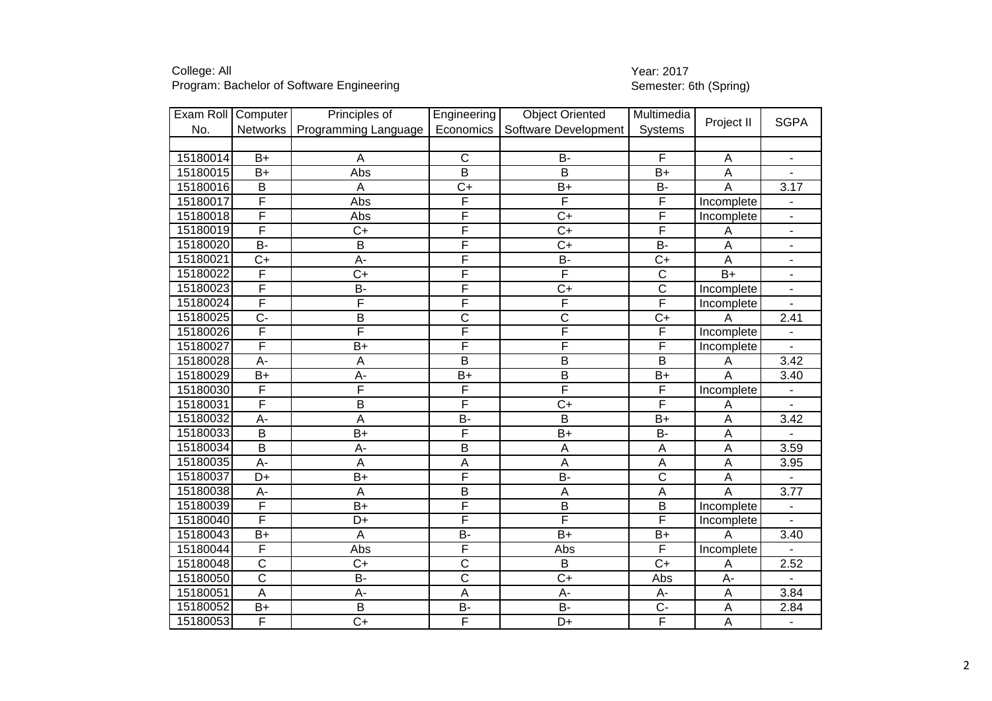Program: Bachelor of Software Engineering

## College: All<br>
Program: Bachelor of Software Engineering<br>
Program: Bachelor of Software Engineering<br>
2013

| Exam Roll   Computer |                         | Principles of        | Engineering             | <b>Object Oriented</b> | Multimedia                |                           | <b>SGPA</b>              |
|----------------------|-------------------------|----------------------|-------------------------|------------------------|---------------------------|---------------------------|--------------------------|
| No.                  | Networks                | Programming Language | Economics               | Software Development   | Systems                   | Project II                |                          |
|                      |                         |                      |                         |                        |                           |                           |                          |
| 15180014             | $B+$                    | A                    | $\mathsf{C}$            | <b>B-</b>              | F                         | $\overline{A}$            | $\overline{\phantom{a}}$ |
| 15180015             | $B+$                    | Abs                  | $\overline{B}$          | $\overline{B}$         | $\overline{B+}$           | $\overline{A}$            |                          |
| 15180016             | $\sf B$                 | A                    | $C+$                    | $B+$                   | <b>B-</b>                 | A                         | 3.17                     |
| 15180017             | F                       | Abs                  | F                       | F                      | F                         | Incomplete                |                          |
| 15180018             | $\overline{\mathsf{F}}$ | Abs                  | F                       | $C+$                   | $\overline{F}$            | Incomplete                | $\blacksquare$           |
| 15180019             | $\overline{\mathsf{F}}$ | $\overline{C}$       | F                       | $\overline{C}$         | $\overline{\mathsf{F}}$   | Α                         | $\overline{\phantom{a}}$ |
| 15180020             | <b>B-</b>               | $\overline{B}$       | F                       | $\overline{C}$         | B-                        | A                         | $\blacksquare$           |
| 15180021             | $C+$                    | A-                   | F                       | $\overline{B}$         | $C+$                      | A                         | $\blacksquare$           |
| 15180022             | $\overline{\mathsf{F}}$ | $\overline{C+}$      | F                       | F                      | $\overline{C}$            | $\overline{B+}$           | $\blacksquare$           |
| 15180023             | $\overline{F}$          | <b>B-</b>            | F                       | $C+$                   | $\mathsf C$               | Incomplete                | $\overline{\phantom{a}}$ |
| 15180024             | $\overline{\mathsf{F}}$ | F                    | F                       | F                      | $\overline{\mathsf{F}}$   | Incomplete                |                          |
| 15180025             | $\overline{C}$          | $\overline{B}$       | $\overline{\mathsf{C}}$ | $\overline{\text{c}}$  | $\overline{C+}$           | Α                         | 2.41                     |
| 15180026             | F                       | F                    | F                       | F                      | $\overline{F}$            | Incomplete                |                          |
| 15180027             | $\overline{F}$          | $B+$                 | F                       | F                      | $\overline{\mathsf{F}}$   | Incomplete                |                          |
| 15180028             | A-                      | A                    | $\overline{B}$          | B                      | $\overline{B}$            | A                         | 3.42                     |
| 15180029             | $B+$                    | $A -$                | $B+$                    | $\overline{B}$         | $B+$                      | $\overline{A}$            | 3.40                     |
| 15180030             | F                       | F                    | F                       | F                      | $\mathsf F$               | Incomplete                |                          |
| 15180031             | F                       | $\overline{B}$       | F                       | $\overline{C}$         | F                         | A                         |                          |
| 15180032             | A-                      | A                    | $\overline{B}$          | $\overline{B}$         | $B+$                      | A                         | 3.42                     |
| 15180033             | $\overline{B}$          | $B+$                 | F                       | $B+$                   | <b>B-</b>                 | A                         |                          |
| 15180034             | $\overline{B}$          | A-                   | B                       | A                      | $\overline{A}$            | $\overline{A}$            | 3.59                     |
| 15180035             | A-                      | A                    | $\overline{A}$          | A                      | $\boldsymbol{\mathsf{A}}$ | $\overline{A}$            | 3.95                     |
| 15180037             | $D+$                    | $\overline{B+}$      | F                       | $\overline{B}$         | $\overline{\text{c}}$     | $\overline{A}$            |                          |
| 15180038             | A-                      | A                    | $\overline{B}$          | A                      | $\overline{A}$            | A                         | 3.77                     |
| 15180039             | $\overline{\mathsf{F}}$ | $\overline{B+}$      | F                       | $\overline{B}$         | $\overline{B}$            | Incomplete                |                          |
| 15180040             | $\overline{\mathsf{F}}$ | D+                   | F                       | F                      | F                         | Incomplete                |                          |
| 15180043             | $B+$                    | A                    | <b>B-</b>               | $B+$                   | $B+$                      | A                         | 3.40                     |
| 15180044             | $\overline{\mathsf{F}}$ | Abs                  | F                       | Abs                    | F                         | Incomplete                |                          |
| 15180048             | $\overline{\text{c}}$   | $\overline{C}$       | $\overline{\text{c}}$   | $\overline{B}$         | $C+$                      | A                         | 2.52                     |
| 15180050             | $\overline{\text{c}}$   | $B -$                | $\overline{\mathsf{c}}$ | $\overline{C}$         | Abs                       | $\overline{A}$ -          |                          |
| 15180051             | A                       | A-                   | $\overline{A}$          | $A -$                  | A-                        | $\overline{A}$            | 3.84                     |
| 15180052             | $B+$                    | $\overline{B}$       | <b>B-</b>               | <b>B-</b>              | $C -$                     | $\mathsf A$               | 2.84                     |
| 15180053             | F                       | $C+$                 | F                       | D+                     | F                         | $\boldsymbol{\mathsf{A}}$ |                          |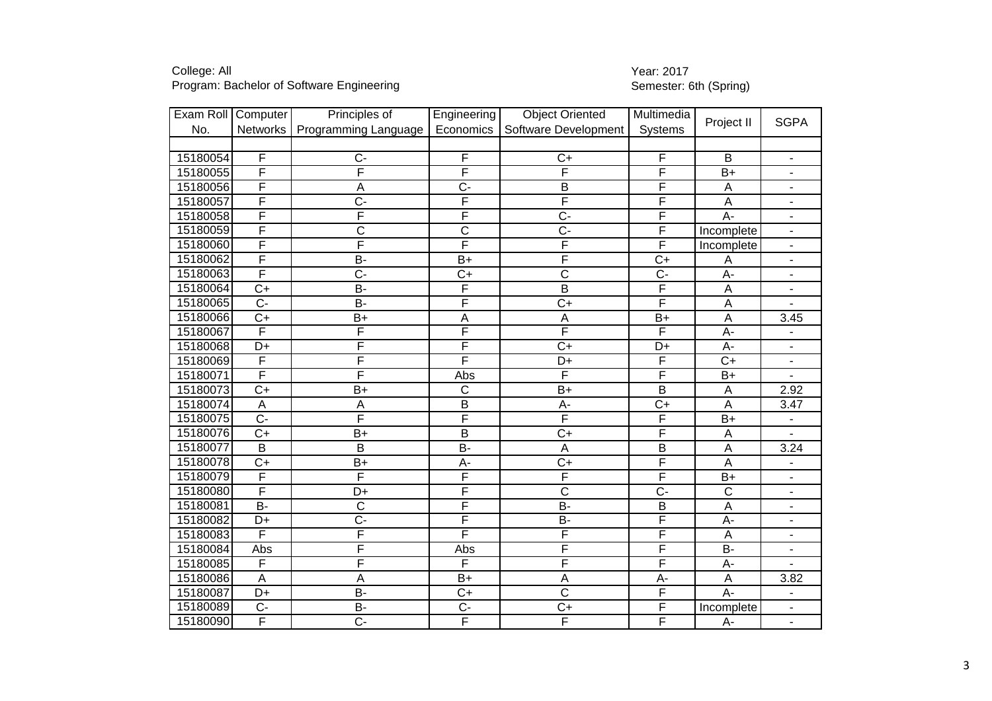Program: Bachelor of Software Engineering

## College: All<br>
Program: Bachelor of Software Engineering<br>
Program: Bachelor of Software Engineering<br>
2013

| Exam Roll | Computer                | Principles of           | Engineering           | <b>Object Oriented</b> | Multimedia              | Project II            | <b>SGPA</b>              |
|-----------|-------------------------|-------------------------|-----------------------|------------------------|-------------------------|-----------------------|--------------------------|
| No.       | Networks                | Programming Language    | Economics             | Software Development   | Systems                 |                       |                          |
|           |                         |                         |                       |                        |                         |                       |                          |
| 15180054  | F                       | $C -$                   | F                     | $C+$                   | F                       | B                     | $\blacksquare$           |
| 15180055  | F                       | F                       | F                     | F                      | F                       | $\overline{B+}$       | $\blacksquare$           |
| 15180056  | F                       | A                       | $C -$                 | B                      | F                       | A                     | $\overline{\phantom{0}}$ |
| 15180057  | F                       | $C -$                   | F                     | F                      | F                       | A                     | ÷,                       |
| 15180058  | F                       | $\overline{\mathsf{F}}$ | F                     | $C -$                  | $\overline{F}$          | A-                    | ÷.                       |
| 15180059  | $\overline{\mathsf{F}}$ | $\overline{\text{c}}$   | $\overline{\text{c}}$ | $\overline{C}$ -       | F                       | Incomplete            | ÷.                       |
| 15180060  | F                       | F                       | F                     | F                      | F                       | Incomplete            | $\blacksquare$           |
| 15180062  | F                       | <b>B-</b>               | $B+$                  | F                      | $C+$                    | A                     | $\overline{\phantom{a}}$ |
| 15180063  | F                       | $\overline{C}$          | $C+$                  | $\overline{C}$         | $C -$                   | $A -$                 | $\overline{\phantom{0}}$ |
| 15180064  | $C+$                    | <b>B-</b>               | F                     | $\overline{B}$         | F                       | A                     | $\overline{\phantom{0}}$ |
| 15180065  | $\overline{C}$          | $B -$                   | F                     | $\overline{C+}$        | $\overline{\mathsf{F}}$ | A                     |                          |
| 15180066  | $\overline{C+}$         | $\overline{B+}$         | A                     | A                      | $B+$                    | $\mathsf A$           | 3.45                     |
| 15180067  | F                       | F                       | F                     | F                      | F                       | A-                    | ۰                        |
| 15180068  | D+                      | F                       | F                     | $\overline{C}$         | D+                      | A-                    | $\blacksquare$           |
| 15180069  | F                       | F                       | F                     | D+                     | $\overline{F}$          | $C+$                  | $\blacksquare$           |
| 15180071  | F                       | F                       | Abs                   | F                      | $\overline{F}$          | $B+$                  | $\overline{\phantom{0}}$ |
| 15180073  | $C+$                    | $B+$                    | $\overline{C}$        | $B+$                   | $\overline{B}$          | A                     | 2.92                     |
| 15180074  | $\overline{A}$          | A                       | $\overline{B}$        | $A -$                  | $\overline{C+}$         | $\overline{A}$        | 3.47                     |
| 15180075  | $\overline{C}$          | F                       | F                     | F                      | F                       | $B+$                  |                          |
| 15180076  | $C+$                    | B+                      | $\mathsf B$           | $C+$                   | F                       | A                     |                          |
| 15180077  | $\overline{B}$          | $\overline{B}$          | $\overline{B}$        | $\overline{A}$         | $\overline{B}$          | A                     | 3.24                     |
| 15180078  | $C+$                    | $B+$                    | A-                    | $\overline{C}$         | F                       | $\overline{A}$        |                          |
| 15180079  | F                       | F                       | F                     | F                      | F                       | $\overline{B+}$       | ÷,                       |
| 15180080  | F                       | D+                      | F                     | $\overline{C}$         | $\overline{C}$          | $\overline{\text{c}}$ | ÷.                       |
| 15180081  | $B -$                   | $\overline{\text{c}}$   | F                     | $B -$                  | $\overline{B}$          | $\overline{A}$        | $\overline{\phantom{0}}$ |
| 15180082  | D+                      | $\overline{C}$          | F                     | $B -$                  | F                       | A-                    | $\blacksquare$           |
| 15180083  | $\overline{F}$          | $\overline{\mathsf{F}}$ | F                     | F                      | F                       | A                     | $\overline{\phantom{0}}$ |
| 15180084  | Abs                     | F                       | Abs                   | F                      | F                       | $\overline{B}$        | $\overline{\phantom{0}}$ |
| 15180085  | $\overline{F}$          | $\overline{\mathsf{F}}$ | F                     | F                      | F                       | A-                    | $\blacksquare$           |
| 15180086  | A                       | A                       | $B+$                  | A                      | A-                      | $\mathsf A$           | 3.82                     |
| 15180087  | D+                      | $\overline{B}$          | $\overline{C+}$       | $\overline{\text{c}}$  | F                       | $A -$                 | ÷,                       |
| 15180089  | $C -$                   | <b>B-</b>               | $C -$                 | $C+$                   | F                       | Incomplete            | $\overline{\phantom{0}}$ |
| 15180090  | $\overline{F}$          | $C -$                   | $\overline{F}$        | F                      | F                       | A-                    | $\overline{\phantom{0}}$ |